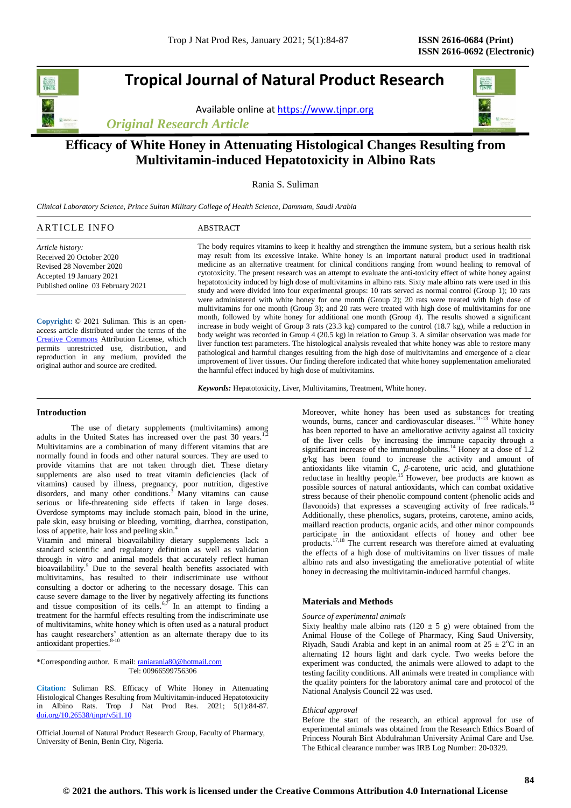# **Tropical Journal of Natural Product Research**

Available online at [https://www.tjnpr.org](https://www.tjnpr.org/)

*Original Research Article*



## **Efficacy of White Honey in Attenuating Histological Changes Resulting from Multivitamin-induced Hepatotoxicity in Albino Rats**

Rania S. Suliman

*Clinical Laboratory Science, Prince Sultan Military College of Health Science, Dammam, Saudi Arabia*

| <b>ARTICLE INFO</b>                                                                                                                                                                                                                                                                       | <b>ABSTRACT</b>                                                                                                                                                                                                                                                                                                                                                                                                                                                                                                                                                                                                                                                                                                                                                                                                                                                                                                                                                          |
|-------------------------------------------------------------------------------------------------------------------------------------------------------------------------------------------------------------------------------------------------------------------------------------------|--------------------------------------------------------------------------------------------------------------------------------------------------------------------------------------------------------------------------------------------------------------------------------------------------------------------------------------------------------------------------------------------------------------------------------------------------------------------------------------------------------------------------------------------------------------------------------------------------------------------------------------------------------------------------------------------------------------------------------------------------------------------------------------------------------------------------------------------------------------------------------------------------------------------------------------------------------------------------|
| Article history:<br>Received 20 October 2020<br>Revised 28 November 2020<br>Accepted 19 January 2021<br>Published online 03 February 2021                                                                                                                                                 | The body requires vitamins to keep it healthy and strengthen the immune system, but a serious health risk<br>may result from its excessive intake. White honey is an important natural product used in traditional<br>medicine as an alternative treatment for clinical conditions ranging from wound healing to removal of<br>cytotoxicity. The present research was an attempt to evaluate the anti-toxicity effect of white honey against<br>hepatotoxicity induced by high dose of multivitamins in albino rats. Sixty male albino rats were used in this<br>study and were divided into four experimental groups: 10 rats served as normal control (Group 1); 10 rats                                                                                                                                                                                                                                                                                               |
| Copyright: © 2021 Suliman. This is an open-<br>access article distributed under the terms of the<br>Creative Commons Attribution License, which<br>permits unrestricted use, distribution,<br>and<br>reproduction in any medium, provided the<br>original author and source are credited. | were administered with white honey for one month (Group 2); 20 rats were treated with high dose of<br>multivitamins for one month (Group 3); and 20 rats were treated with high dose of multivitamins for one<br>month, followed by white honey for additional one month (Group 4). The results showed a significant<br>increase in body weight of Group 3 rats $(23.3 \text{ kg})$ compared to the control $(18.7 \text{ kg})$ , while a reduction in<br>body weight was recorded in Group 4 (20.5 kg) in relation to Group 3. A similar observation was made for<br>liver function test parameters. The histological analysis revealed that white honey was able to restore many<br>pathological and harmful changes resulting from the high dose of multivitamins and emergence of a clear<br>improvement of liver tissues. Our finding therefore indicated that white honey supplementation ameliorated<br>the harmful effect induced by high dose of multivitamins. |

*Keywords:* Hepatotoxicity, Liver, Multivitamins, Treatment, White honey.

## **Introduction**

The use of dietary supplements (multivitamins) among adults in the United States has increased over the past 30 years. Multivitamins are a combination of many different vitamins that are normally found in foods and other natural sources. They are used to provide vitamins that are not taken through diet. These dietary supplements are also used to treat vitamin deficiencies (lack of vitamins) caused by illness, pregnancy, poor nutrition, digestive disorders, and many other conditions.<sup>3</sup> Many vitamins can cause serious or life-threatening side effects if taken in large doses. Overdose symptoms may include stomach pain, blood in the urine, pale skin, easy bruising or bleeding, vomiting, diarrhea, constipation, loss of appetite, hair loss and peeling skin.<sup>4</sup>

Vitamin and mineral bioavailability dietary supplements lack a standard scientific and regulatory definition as well as validation through *in vitro* and animal models that accurately reflect human bioavailability.<sup>5</sup> Due to the several health benefits associated with multivitamins, has resulted to their indiscriminate use without consulting a doctor or adhering to the necessary dosage. This can cause severe damage to the liver by negatively affecting its functions and tissue composition of its cells.<sup>6,7</sup> In an attempt to finding a treatment for the harmful effects resulting from the indiscriminate use of multivitamins, white honey which is often used as a natural product has caught researchers' attention as an alternate therapy due to its antioxidant properties. 8-10

\*Corresponding author. E mail[: raniarania80@hotmail.com](mailto:raniarania80@hotmail.com) Tel: 00966599756306

**Citation:** Suliman RS. Efficacy of White Honey in Attenuating Histological Changes Resulting from Multivitamin-induced Hepatotoxicity in Albino Rats. Trop J Nat Prod Res. 2021; 5(1):84-87. [doi.org/10.26538/tjnpr/v5i1.1](http://www.doi.org/10.26538/tjnpr/v1i4.5)0

Official Journal of Natural Product Research Group, Faculty of Pharmacy, University of Benin, Benin City, Nigeria.

Moreover, white honey has been used as substances for treating wounds, burns, cancer and cardiovascular diseases.<sup>11-13</sup> White honey has been reported to have an ameliorative activity against all toxicity of the liver cells by increasing the immune capacity through a significant increase of the immunoglobulins.<sup>14</sup> Honey at a dose of 1.2 g/kg has been found to increase the activity and amount of antioxidants like vitamin C, *β*-carotene, uric acid, and glutathione reductase in healthy people.<sup>15</sup> However, bee products are known as possible sources of natural antioxidants, which can combat oxidative stress because of their phenolic compound content (phenolic acids and flavonoids) that expresses a scavenging activity of free radicals.<sup>1</sup> Additionally, these phenolics, sugars, proteins, carotene, amino acids, maillard reaction products, organic acids, and other minor compounds participate in the antioxidant effects of honey and other bee products.<sup>17,18</sup> The current research was therefore aimed at evaluating the effects of a high dose of multivitamins on liver tissues of male albino rats and also investigating the ameliorative potential of white honey in decreasing the multivitamin-induced harmful changes.

## **Materials and Methods**

#### *Source of experimental animals*

Sixty healthy male albino rats (120  $\pm$  5 g) were obtained from the Animal House of the College of Pharmacy, King Saud University, Riyadh, Saudi Arabia and kept in an animal room at  $25 \pm 2$ °C in an alternating 12 hours light and dark cycle. Two weeks before the experiment was conducted, the animals were allowed to adapt to the testing facility conditions. All animals were treated in compliance with the quality pointers for the laboratory animal care and protocol of the National Analysis Council 22 was used.

## *Ethical approval*

Before the start of the research, an ethical approval for use of experimental animals was obtained from the Research Ethics Board of Princess Nourah Bint Abdulrahman University Animal Care and Use. The Ethical clearance number was IRB Log Number: 20-0329.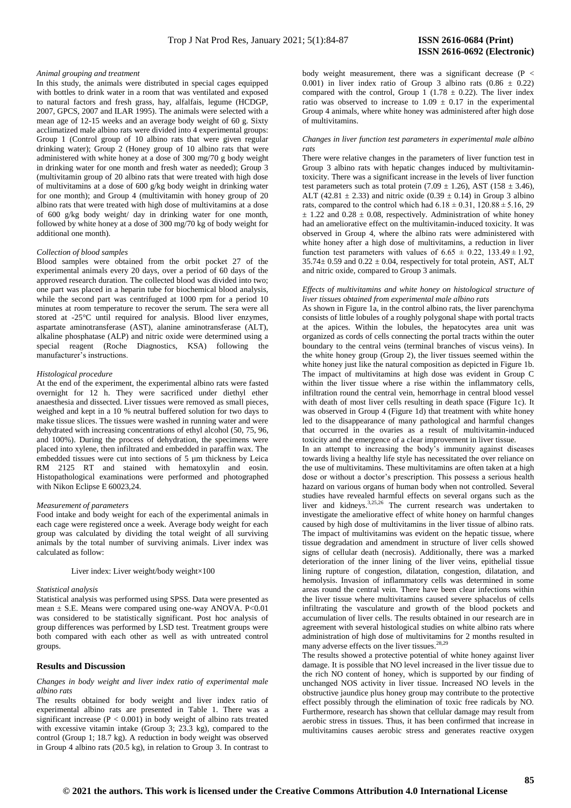#### *Animal grouping and treatment*

In this study, the animals were distributed in special cages equipped with bottles to drink water in a room that was ventilated and exposed to natural factors and fresh grass, hay, alfalfais, legume (HCDGP, 2007, GPCS, 2007 and ILAR 1995). The animals were selected with a mean age of 12-15 weeks and an average body weight of 60 g. Sixty acclimatized male albino rats were divided into 4 experimental groups: Group 1 (Control group of 10 albino rats that were given regular drinking water); Group 2 (Honey group of 10 albino rats that were administered with white honey at a dose of 300 mg/70 g body weight in drinking water for one month and fresh water as needed); Group 3 (multivitamin group of 20 albino rats that were treated with high dose of multivitamins at a dose of 600 g/kg body weight in drinking water for one month); and Group 4 (multivitamin with honey group of 20 albino rats that were treated with high dose of multivitamins at a dose of 600 g/kg body weight/ day in drinking water for one month, followed by white honey at a dose of 300 mg/70 kg of body weight for additional one month).

#### *Collection of blood samples*

Blood samples were obtained from the orbit pocket 27 of the experimental animals every 20 days, over a period of 60 days of the approved research duration. The collected blood was divided into two; one part was placed in a heparin tube for biochemical blood analysis, while the second part was centrifuged at 1000 rpm for a period 10 minutes at room temperature to recover the serum. The sera were all stored at -25°C until required for analysis. Blood liver enzymes, aspartate aminotransferase (AST), alanine aminotransferase (ALT), alkaline phosphatase (ALP) and nitric oxide were determined using a special reagent (Roche Diagnostics, KSA) following the manufacturer's instructions.

## *Histological procedure*

At the end of the experiment, the experimental albino rats were fasted overnight for 12 h. They were sacrificed under diethyl ether anaesthesia and dissected. Liver tissues were removed as small pieces, weighed and kept in a 10 % neutral buffered solution for two days to make tissue slices. The tissues were washed in running water and were dehydrated with increasing concentrations of ethyl alcohol (50, 75, 96, and 100%). During the process of dehydration, the specimens were placed into xylene, then infiltrated and embedded in paraffin wax. The embedded tissues were cut into sections of 5 um thickness by Leica RM 2125 RT and stained with hematoxylin and eosin. Histopathological examinations were performed and photographed with Nikon Eclipse E 60023,24.

#### *Measurement of parameters*

Food intake and body weight for each of the experimental animals in each cage were registered once a week. Average body weight for each group was calculated by dividing the total weight of all surviving animals by the total number of surviving animals. Liver index was calculated as follow:

Liver index: Liver weight/body weight×100

#### *Statistical analysis*

Statistical analysis was performed using SPSS. Data were presented as mean  $\pm$  S.E. Means were compared using one-way ANOVA. P<0.01 was considered to be statistically significant. Post hoc analysis of group differences was performed by LSD test. Treatment groups were both compared with each other as well as with untreated control groups.

#### **Results and Discussion**

## *Changes in body weight and liver index ratio of experimental male albino rats*

The results obtained for body weight and liver index ratio of experimental albino rats are presented in Table 1. There was a significant increase ( $P < 0.001$ ) in body weight of albino rats treated with excessive vitamin intake (Group 3; 23.3 kg), compared to the control (Group 1; 18.7 kg). A reduction in body weight was observed in Group 4 albino rats (20.5 kg), in relation to Group 3. In contrast to

body weight measurement, there was a significant decrease ( $P <$ 0.001) in liver index ratio of Group 3 albino rats  $(0.86 \pm 0.22)$ compared with the control, Group  $1(1.78 \pm 0.22)$ . The liver index ratio was observed to increase to  $1.09 \pm 0.17$  in the experimental Group 4 animals, where white honey was administered after high dose of multivitamins.

## *Changes in liver function test parameters in experimental male albino rats*

There were relative changes in the parameters of liver function test in Group 3 albino rats with hepatic changes induced by multivitamintoxicity. There was a significant increase in the levels of liver function test parameters such as total protein  $(7.09 \pm 1.26)$ , AST  $(158 \pm 3.46)$ , ALT (42.81  $\pm$  2.33) and nitric oxide (0.39  $\pm$  0.14) in Group 3 albino rats, compared to the control which had  $6.18 \pm 0.31$ ,  $120.88 \pm 5.16$ , 29  $\pm$  1.22 and 0.28  $\pm$  0.08, respectively. Administration of white honey had an ameliorative effect on the multivitamin-induced toxicity. It was observed in Group 4, where the albino rats were administered with white honey after a high dose of multivitamins, a reduction in liver function test parameters with values of  $6.65 \pm 0.22$ ,  $133.49 \pm 1.92$ ,  $35.74 \pm 0.59$  and  $0.22 \pm 0.04$ , respectively for total protein, AST, ALT and nitric oxide, compared to Group 3 animals.

## *Effects of multivitamins and white honey on histological structure of liver tissues obtained from experimental male albino rats*

As shown in Figure 1a, in the control albino rats, the liver parenchyma consists of little lobules of a roughly polygonal shape with portal tracts at the apices. Within the lobules, the hepatocytes area unit was organized as cords of cells connecting the portal tracts within the outer boundary to the central veins (terminal branches of viscus veins). In the white honey group (Group 2), the liver tissues seemed within the white honey just like the natural composition as depicted in Figure 1b. The impact of multivitamins at high dose was evident in Group C within the liver tissue where a rise within the inflammatory cells, infiltration round the central vein, hemorrhage in central blood vessel with death of most liver cells resulting in death space (Figure 1c). It was observed in Group 4 (Figure 1d) that treatment with white honey led to the disappearance of many pathological and harmful changes that occurred in the ovaries as a result of multivitamin-induced toxicity and the emergence of a clear improvement in liver tissue.

In an attempt to increasing the body's immunity against diseases towards living a healthy life style has necessitated the over reliance on the use of multivitamins. These multivitamins are often taken at a high dose or without a doctor's prescription. This possess a serious health hazard on various organs of human body when not controlled. Several studies have revealed harmful effects on several organs such as the liver and kidneys.<sup>3,25,26</sup> The current research was undertaken to investigate the ameliorative effect of white honey on harmful changes caused by high dose of multivitamins in the liver tissue of albino rats. The impact of multivitamins was evident on the hepatic tissue, where tissue degradation and amendment in structure of liver cells showed signs of cellular death (necrosis). Additionally, there was a marked deterioration of the inner lining of the liver veins, epithelial tissue lining rupture of congestion, dilatation, congestion, dilatation, and hemolysis. Invasion of inflammatory cells was determined in some areas round the central vein. There have been clear infections within the liver tissue where multivitamins caused severe sphacelus of cells infiltrating the vasculature and growth of the blood pockets and accumulation of liver cells. The results obtained in our research are in agreement with several histological studies on white albino rats where administration of high dose of multivitamins for 2 months resulted in many adverse effects on the liver tissues.<sup>28,29</sup>

The results showed a protective potential of white honey against liver damage. It is possible that NO level increased in the liver tissue due to the rich NO content of honey, which is supported by our finding of unchanged NOS activity in liver tissue. Increased NO levels in the obstructive jaundice plus honey group may contribute to the protective effect possibly through the elimination of toxic free radicals by NO. Furthermore, research has shown that cellular damage may result from aerobic stress in tissues. Thus, it has been confirmed that increase in multivitamins causes aerobic stress and generates reactive oxygen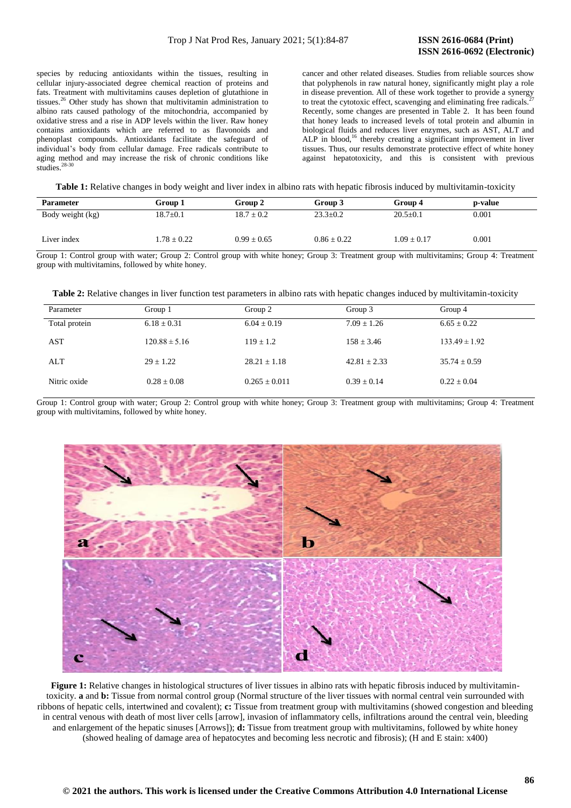species by reducing antioxidants within the tissues, resulting in cellular injury-associated degree chemical reaction of proteins and fats. Treatment with multivitamins causes depletion of glutathione in tissues.<sup>26</sup> Other study has shown that multivitamin administration to albino rats caused pathology of the mitochondria, accompanied by oxidative stress and a rise in ADP levels within the liver. Raw honey contains antioxidants which are referred to as flavonoids and phenoplast compounds. Antioxidants facilitate the safeguard of individual's body from cellular damage. Free radicals contribute to aging method and may increase the risk of chronic conditions like studies

cancer and other related diseases. Studies from reliable sources show that polyphenols in raw natural honey, significantly might play a role in disease prevention. All of these work together to provide a synergy to treat the cytotoxic effect, scavenging and eliminating free radicals. Recently, some changes are presented in Table 2. It has been found that honey leads to increased levels of total protein and albumin in biological fluids and reduces liver enzymes, such as AST, ALT and ALP in blood,<sup>16</sup> thereby creating a significant improvement in liver tissues. Thus, our results demonstrate protective effect of white honey against hepatotoxicity, and this is consistent with previous

**Table 1:** Relative changes in body weight and liver index in albino rats with hepatic fibrosis induced by multivitamin-toxicity

| <b>Parameter</b> | Group 1         | Group 2         | Group 3         | Group 4         | p-value |
|------------------|-----------------|-----------------|-----------------|-----------------|---------|
| Body weight (kg) | $18.7 \pm 0.1$  | $18.7 \pm 0.2$  | $23.3 \pm 0.2$  | $20.5 \pm 0.1$  | 0.001   |
| Liver index      | $1.78 \pm 0.22$ | $0.99 \pm 0.65$ | $0.86 \pm 0.22$ | $1.09 \pm 0.17$ | 0.001   |

Group 1: Control group with water; Group 2: Control group with white honey; Group 3: Treatment group with multivitamins; Group 4: Treatment group with multivitamins, followed by white honey.

**Table 2:** Relative changes in liver function test parameters in albino rats with hepatic changes induced by multivitamin-toxicity

| Parameter     | Group 1           | Group 2           | Group 3          | Group 4           |
|---------------|-------------------|-------------------|------------------|-------------------|
| Total protein | $6.18 \pm 0.31$   | $6.04 \pm 0.19$   | $7.09 \pm 1.26$  | $6.65 \pm 0.22$   |
| AST           | $120.88 \pm 5.16$ | $119 + 1.2$       | $158 \pm 3.46$   | $133.49 \pm 1.92$ |
| ALT           | $29 \pm 1.22$     | $28.21 \pm 1.18$  | $42.81 \pm 2.33$ | $35.74 \pm 0.59$  |
| Nitric oxide  | $0.28 \pm 0.08$   | $0.265 \pm 0.011$ | $0.39 \pm 0.14$  | $0.22 \pm 0.04$   |

Group 1: Control group with water; Group 2: Control group with white honey; Group 3: Treatment group with multivitamins; Group 4: Treatment group with multivitamins, followed by white honey.



**Figure 1:** Relative changes in histological structures of liver tissues in albino rats with hepatic fibrosis induced by multivitamintoxicity. **a** and **b:** Tissue from normal control group (Normal structure of the liver tissues with normal central vein surrounded with ribbons of hepatic cells, intertwined and covalent); **c:** Tissue from treatment group with multivitamins (showed congestion and bleeding in central venous with death of most liver cells [arrow], invasion of inflammatory cells, infiltrations around the central vein, bleeding and enlargement of the hepatic sinuses [Arrows]); **d:** Tissue from treatment group with multivitamins, followed by white honey (showed healing of damage area of hepatocytes and becoming less necrotic and fibrosis); (H and E stain: x400)